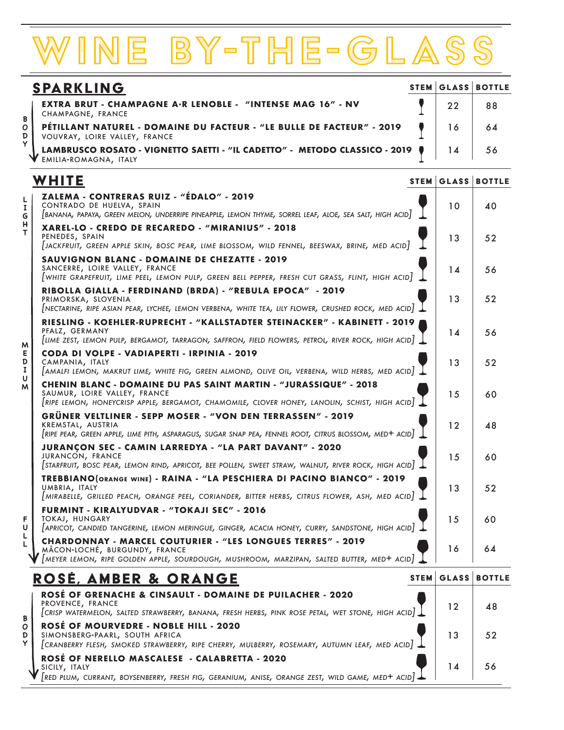# BY-THE-GLA

| <b>SPARKLING</b> |                                                                                                                                 |    | <b>STEM GLASS BOTTLE</b> |
|------------------|---------------------------------------------------------------------------------------------------------------------------------|----|--------------------------|
|                  | <b>EXTRA BRUT - CHAMPAGNE A·R LENOBLE - "INTENSE MAG 16" - NV</b><br>CHAMPAGNE, FRANCE                                          | 22 | 88                       |
|                  | PÉTILLANT NATUREL - DOMAINE DU FACTEUR - "LE BULLE DE FACTEUR" - 2019<br>VOUVRAY, LOIRE VALLEY, FRANCE                          |    | 64                       |
|                  | LAMBRUSCO ROSATO - VIGNETTO SAETTI - "IL CADETTO" - METODO CLASSICO - 2019 ♦<br>V LAMBRUSCU RUSAIU -<br>V EMILIA-ROMAGNA, ITALY |    | 56                       |

## **WHITE**

B  $\overline{O}$ D Ÿ

L 1 G н T

**ZALEMA - CONTRERAS RUIZ - "ÉDALO" - 2019**

#### CONTRADO DE HUELVA, SPAIN *[BANANA, PAPAYA, GREEN MELON, UNDERRIPE PINEAPPLE, LEMON THYME, SORREL LEAF, ALOE, SEA SALT, HIGH ACID]* **XAREL-LO - CREDO DE RECAREDO - "MIRANIUS" - 2018** PENEDES, SPAIN *[JACKFRUIT, GREEN APPLE SKIN, BOSC PEAR, LIME BLOSSOM, WILD FENNEL, BEESWAX, BRINE, MED ACID]* **SAUVIGNON BLANC - DOMAINE DE CHEZATTE - 2019** SANCERRE, LOIRE VALLEY, FRANCE *[WHITE GRAPEFRUIT, LIME PEEL, LEMON PULP, GREEN BELL PEPPER, FRESH CUT GRASS, FLINT, HIGH ACID]* **RIBOLLA GIALLA - FERDINAND (BRDA) - "REBULA EPOCA" - 2019** PRIMORSKA, SLOVENIA *[NECTARINE, RIPE ASIAN PEAR, LYCHEE, LEMON VERBENA, WHITE TEA, LILY FLOWER, CRUSHED ROCK, MED ACID]* **RIESLING - KOEHLER-RUPRECHT - "KALLSTADTER STEINACKER" - KABINETT - 2019** PFALZ, GERMANY *[LIME ZEST, LEMON PULP, BERGAMOT, TARRAGON, SAFFRON, FIELD FLOWERS, PETROL, RIVER ROCK, HIGH ACID]* **CODA DI VOLPE - VADIAPERTI - IRPINIA - 2019** CAMPANIA, ITALY *[AMALFI LEMON, MAKRUT LIME, WHITE FIG, GREEN ALMOND, OLIVE OIL, VERBENA, WILD HERBS, MED ACID]* **CHENIN BLANC - DOMAINE DU PAS SAINT MARTIN - "JURASSIQUE" - 2018** SAUMUR, LOIRE VALLEY, FRANCE *[RIPE LEMON, HONEYCRISP APPLE, BERGAMOT, CHAMOMILE, CLOVER HONEY, LANOLIN, SCHIST, HIGH ACID]*  **GRÜNER VELTLINER - SEPP MOSER - "VON DEN TERRASSEN" - 2019** KREMSTAL, AUSTRIA *[RIPE PEAR, GREEN APPLE, LIME PITH, ASPARAGUS, SUGAR SNAP PEA, FENNEL ROOT, CITRUS BLOSSOM, MED+ ACID]* **JURANÇON SEC - CAMIN LARREDYA - "LA PART DAVANT" - 2020** JURANCON, FRANCE *[STARFRUIT, BOSC PEAR, LEMON RIND, APRICOT, BEE POLLEN, SWEET STRAW, WALNUT, RIVER ROCK, HIGH ACID]* **TREBBIANO(ORANGE WINE) - RAINA - "LA PESCHIERA DI PACINO BIANCO" - 2019** UMBRIA, ITALY *[MIRABELLE, GRILLED PEACH, ORANGE PEEL, CORIANDER, BITTER HERBS, CITRUS FLOWER, ASH, MED ACID]* **FURMINT - KIRALYUDVAR - " TOKAJI SEC" - 2016** TOKAJ, HUNGARY *[APRICOT, CANDIED TANGERINE, LEMON MERINGUE, GINGER, ACACIA HONEY, CURRY, SANDSTONE, HIGH ACID]* **CHARDONNAY - MARCEL COUTURIER - "LES LONGUES TERRES" - 2019** MÂCON-LOCHÉ, BURGUNDY, FRANCE 13 52 10 40 13 52 14 56 14 56 13 52 15 60 12 48 15 | 60 13 | 52 15 60 16 64

### rosÉ, AMBER & Orange **ROSÉ OF GRENACHE & CINSAULT - DOMAINE DE PUILACHER - 2020** PROVENCE, FRANCE *[CRISP WATERMELON, SALTED STRAWBERRY, BANANA, FRESH HERBS, PINK ROSE PETAL, WET STONE, HIGH ACID]* **ROSÉ OF MOURVEDRE - NOBLE HILL - 2020** SIMONSBERG-PAARL, SOUTH AFRICA *[CRANBERRY FLESH, SMOKED STRAWBERRY, RIPE CHERRY, MULBERRY, ROSEMARY, AUTUMN LEAF, MED ACID]* **ROSÉ OF NERELLO MASCALESE - CALABRETTA - 2020** SICILY, ITALY STEM GLASS BOTTLE

*[MEYER LEMON, RIPE GOLDEN APPLE, SOURDOUGH, MUSHROOM, MARZIPAN, SALTED BUTTER, MED+ ACID]*

*[RED PLUM, CURRANT, BOYSENBERRY, FRESH FIG, GERANIUM, ANISE, ORANGE ZEST, WILD GAME, MED+ ACID]*

STEM GLASS BOTTLE

12 48

13 52

14 56

**BODYLIGHT**<br>BODYLIGHTFULLMEDIUM<br>BODYLIGHTFULLMEDIUM E D  $\mathbf I$  $\overline{u}$ M

F U L

B O D

M